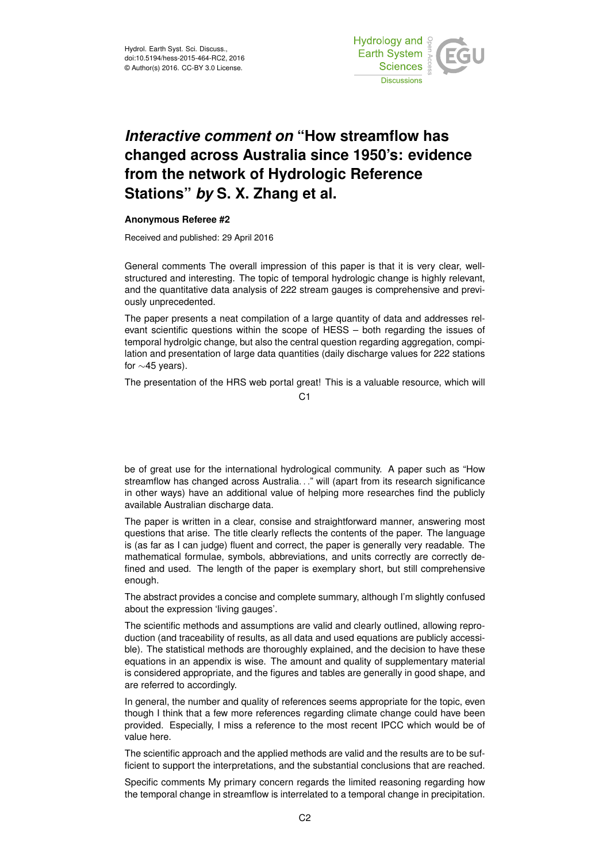

## *Interactive comment on* **"How streamflow has changed across Australia since 1950's: evidence from the network of Hydrologic Reference Stations"** *by* **S. X. Zhang et al.**

## **Anonymous Referee #2**

Received and published: 29 April 2016

General comments The overall impression of this paper is that it is very clear, wellstructured and interesting. The topic of temporal hydrologic change is highly relevant, and the quantitative data analysis of 222 stream gauges is comprehensive and previously unprecedented.

The paper presents a neat compilation of a large quantity of data and addresses relevant scientific questions within the scope of HESS – both regarding the issues of temporal hydrolgic change, but also the central question regarding aggregation, compilation and presentation of large data quantities (daily discharge values for 222 stations for ∼45 years).

The presentation of the HRS web portal great! This is a valuable resource, which will

 $C<sub>1</sub>$ 

be of great use for the international hydrological community. A paper such as "How streamflow has changed across Australia. . ." will (apart from its research significance in other ways) have an additional value of helping more researches find the publicly available Australian discharge data.

The paper is written in a clear, consise and straightforward manner, answering most questions that arise. The title clearly reflects the contents of the paper. The language is (as far as I can judge) fluent and correct, the paper is generally very readable. The mathematical formulae, symbols, abbreviations, and units correctly are correctly defined and used. The length of the paper is exemplary short, but still comprehensive enough.

The abstract provides a concise and complete summary, although I'm slightly confused about the expression 'living gauges'.

The scientific methods and assumptions are valid and clearly outlined, allowing reproduction (and traceability of results, as all data and used equations are publicly accessible). The statistical methods are thoroughly explained, and the decision to have these equations in an appendix is wise. The amount and quality of supplementary material is considered appropriate, and the figures and tables are generally in good shape, and are referred to accordingly.

In general, the number and quality of references seems appropriate for the topic, even though I think that a few more references regarding climate change could have been provided. Especially, I miss a reference to the most recent IPCC which would be of value here.

The scientific approach and the applied methods are valid and the results are to be sufficient to support the interpretations, and the substantial conclusions that are reached.

Specific comments My primary concern regards the limited reasoning regarding how the temporal change in streamflow is interrelated to a temporal change in precipitation.